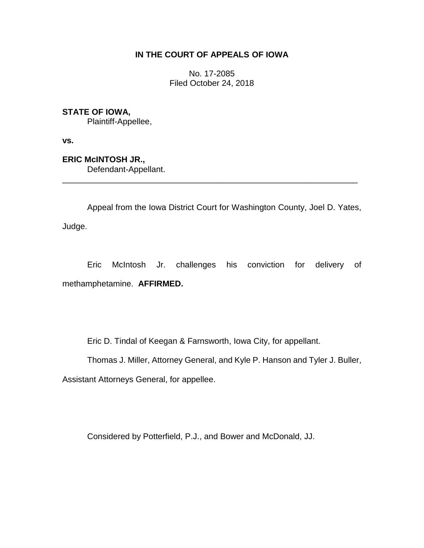## **IN THE COURT OF APPEALS OF IOWA**

No. 17-2085 Filed October 24, 2018

**STATE OF IOWA,**

Plaintiff-Appellee,

**vs.**

**ERIC McINTOSH JR.,** Defendant-Appellant.

Appeal from the Iowa District Court for Washington County, Joel D. Yates, Judge.

\_\_\_\_\_\_\_\_\_\_\_\_\_\_\_\_\_\_\_\_\_\_\_\_\_\_\_\_\_\_\_\_\_\_\_\_\_\_\_\_\_\_\_\_\_\_\_\_\_\_\_\_\_\_\_\_\_\_\_\_\_\_\_\_

Eric McIntosh Jr. challenges his conviction for delivery of methamphetamine. **AFFIRMED.**

Eric D. Tindal of Keegan & Farnsworth, Iowa City, for appellant.

Thomas J. Miller, Attorney General, and Kyle P. Hanson and Tyler J. Buller,

Assistant Attorneys General, for appellee.

Considered by Potterfield, P.J., and Bower and McDonald, JJ.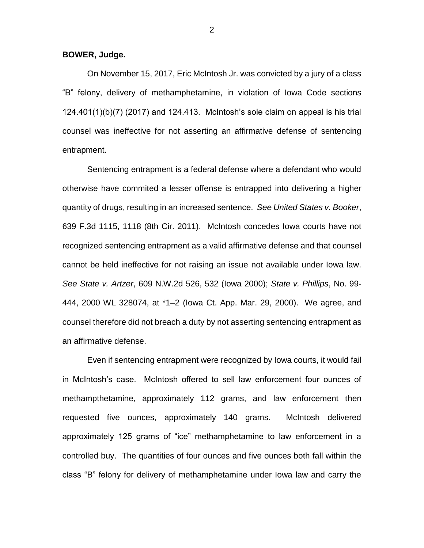**BOWER, Judge.**

On November 15, 2017, Eric McIntosh Jr. was convicted by a jury of a class "B" felony, delivery of methamphetamine, in violation of Iowa Code sections 124.401(1)(b)(7) (2017) and 124.413. McIntosh's sole claim on appeal is his trial counsel was ineffective for not asserting an affirmative defense of sentencing entrapment.

Sentencing entrapment is a federal defense where a defendant who would otherwise have commited a lesser offense is entrapped into delivering a higher quantity of drugs, resulting in an increased sentence. *See United States v. Booker*, 639 F.3d 1115, 1118 (8th Cir. 2011). McIntosh concedes Iowa courts have not recognized sentencing entrapment as a valid affirmative defense and that counsel cannot be held ineffective for not raising an issue not available under Iowa law. *See State v. Artzer*, 609 N.W.2d 526, 532 (Iowa 2000); *State v. Phillips*, No. 99- 444, 2000 WL 328074, at \*1–2 (Iowa Ct. App. Mar. 29, 2000). We agree, and counsel therefore did not breach a duty by not asserting sentencing entrapment as an affirmative defense.

Even if sentencing entrapment were recognized by Iowa courts, it would fail in McIntosh's case. McIntosh offered to sell law enforcement four ounces of methampthetamine, approximately 112 grams, and law enforcement then requested five ounces, approximately 140 grams. McIntosh delivered approximately 125 grams of "ice" methamphetamine to law enforcement in a controlled buy. The quantities of four ounces and five ounces both fall within the class "B" felony for delivery of methamphetamine under Iowa law and carry the